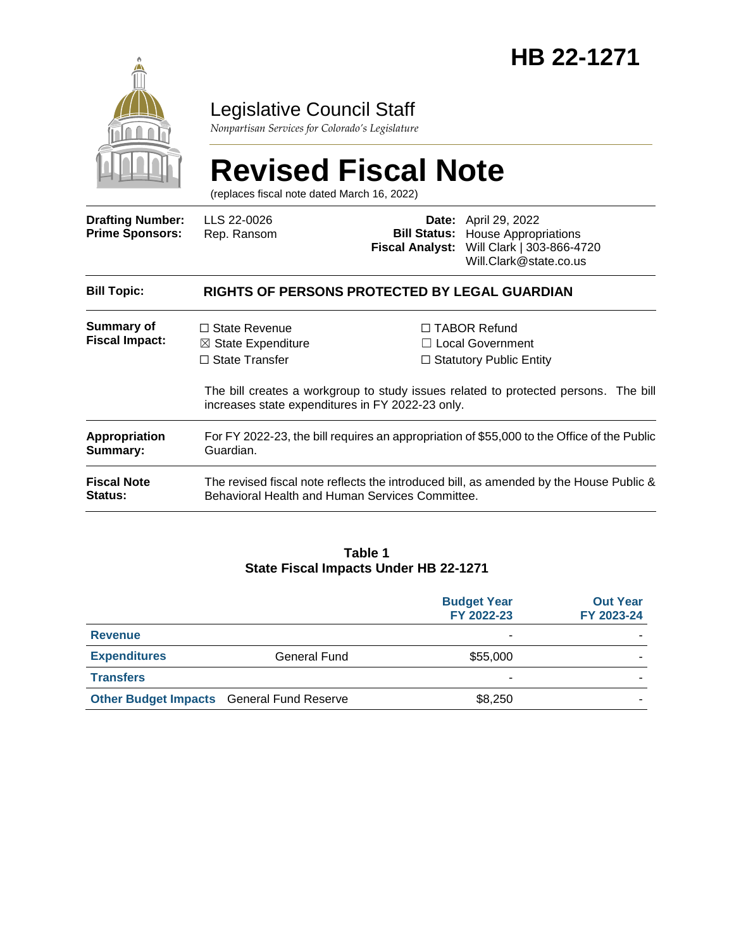

## Legislative Council Staff

*Nonpartisan Services for Colorado's Legislature*

# **Revised Fiscal Note**

(replaces fiscal note dated March 16, 2022)

| <b>Drafting Number:</b><br><b>Prime Sponsors:</b> | LLS 22-0026<br>Rep. Ransom                                                                                                                |  | <b>Date:</b> April 29, 2022<br><b>Bill Status:</b> House Appropriations<br>Fiscal Analyst: Will Clark   303-866-4720<br>Will.Clark@state.co.us                          |
|---------------------------------------------------|-------------------------------------------------------------------------------------------------------------------------------------------|--|-------------------------------------------------------------------------------------------------------------------------------------------------------------------------|
| <b>Bill Topic:</b>                                | <b>RIGHTS OF PERSONS PROTECTED BY LEGAL GUARDIAN</b>                                                                                      |  |                                                                                                                                                                         |
| Summary of<br><b>Fiscal Impact:</b>               | $\Box$ State Revenue<br>$\boxtimes$ State Expenditure<br>$\Box$ State Transfer<br>increases state expenditures in FY 2022-23 only.        |  | $\Box$ TABOR Refund<br>$\Box$ Local Government<br>$\Box$ Statutory Public Entity<br>The bill creates a workgroup to study issues related to protected persons. The bill |
| <b>Appropriation</b><br>Summary:                  | For FY 2022-23, the bill requires an appropriation of \$55,000 to the Office of the Public<br>Guardian.                                   |  |                                                                                                                                                                         |
| <b>Fiscal Note</b><br><b>Status:</b>              | The revised fiscal note reflects the introduced bill, as amended by the House Public &<br>Behavioral Health and Human Services Committee. |  |                                                                                                                                                                         |

#### **Table 1 State Fiscal Impacts Under HB 22-1271**

|                                                  |              | <b>Budget Year</b><br>FY 2022-23 | <b>Out Year</b><br>FY 2023-24 |
|--------------------------------------------------|--------------|----------------------------------|-------------------------------|
| <b>Revenue</b>                                   |              | ۰                                |                               |
| <b>Expenditures</b>                              | General Fund | \$55,000                         |                               |
| <b>Transfers</b>                                 |              | ۰                                |                               |
| <b>Other Budget Impacts</b> General Fund Reserve |              | \$8,250                          |                               |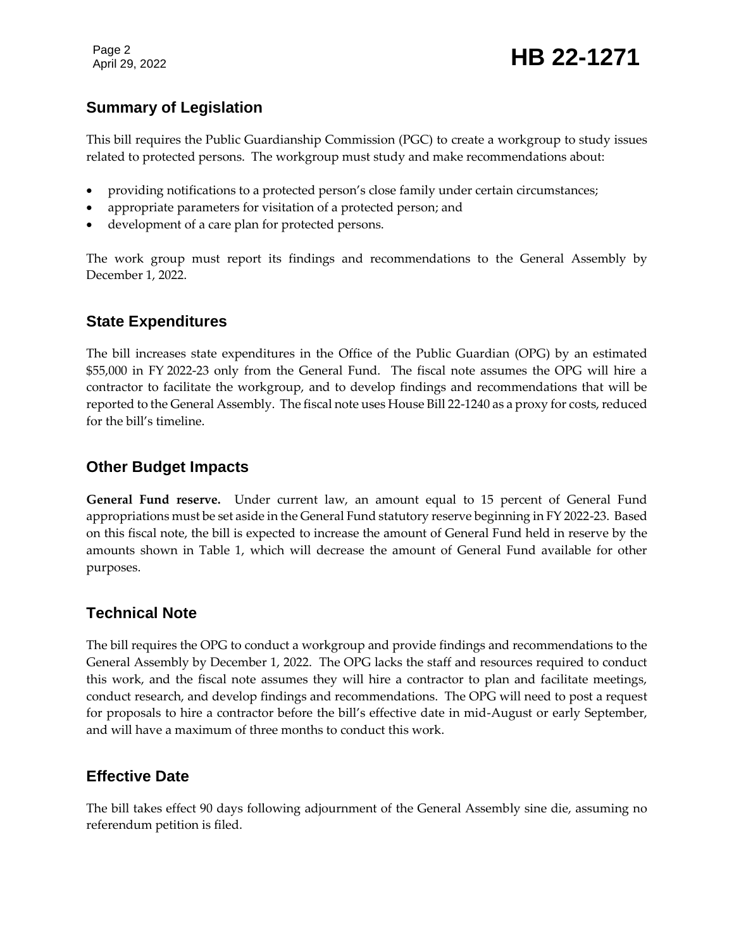Page 2

#### **Summary of Legislation**

This bill requires the Public Guardianship Commission (PGC) to create a workgroup to study issues related to protected persons. The workgroup must study and make recommendations about:

- providing notifications to a protected person's close family under certain circumstances;
- appropriate parameters for visitation of a protected person; and
- development of a care plan for protected persons.

The work group must report its findings and recommendations to the General Assembly by December 1, 2022.

#### **State Expenditures**

The bill increases state expenditures in the Office of the Public Guardian (OPG) by an estimated \$55,000 in FY 2022-23 only from the General Fund. The fiscal note assumes the OPG will hire a contractor to facilitate the workgroup, and to develop findings and recommendations that will be reported to the General Assembly. The fiscal note uses House Bill 22-1240 as a proxy for costs, reduced for the bill's timeline.

#### **Other Budget Impacts**

**General Fund reserve.** Under current law, an amount equal to 15 percent of General Fund appropriations must be set aside in the General Fund statutory reserve beginning in FY 2022-23. Based on this fiscal note, the bill is expected to increase the amount of General Fund held in reserve by the amounts shown in Table 1, which will decrease the amount of General Fund available for other purposes.

#### **Technical Note**

The bill requires the OPG to conduct a workgroup and provide findings and recommendations to the General Assembly by December 1, 2022. The OPG lacks the staff and resources required to conduct this work, and the fiscal note assumes they will hire a contractor to plan and facilitate meetings, conduct research, and develop findings and recommendations. The OPG will need to post a request for proposals to hire a contractor before the bill's effective date in mid-August or early September, and will have a maximum of three months to conduct this work.

#### **Effective Date**

The bill takes effect 90 days following adjournment of the General Assembly sine die, assuming no referendum petition is filed.